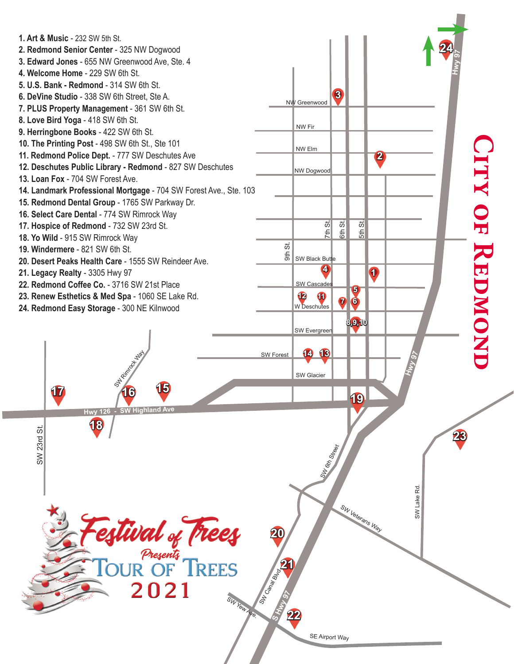